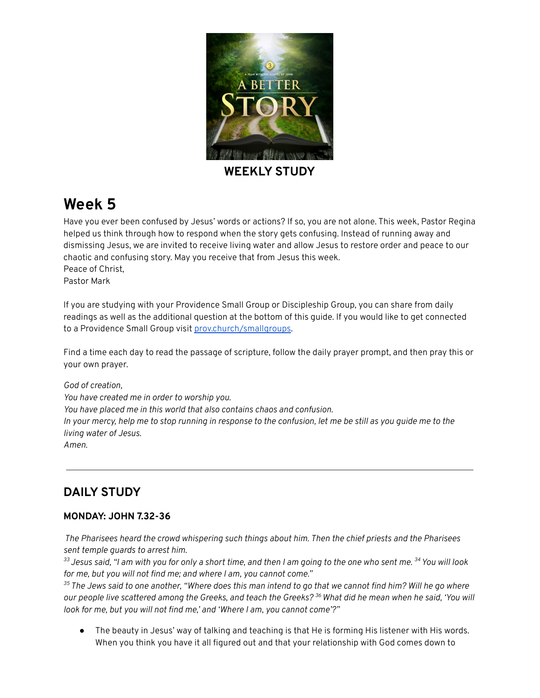

**WEEKLY STUDY**

# **Week 5**

Have you ever been confused by Jesus' words or actions? If so, you are not alone. This week, Pastor Regina helped us think through how to respond when the story gets confusing. Instead of running away and dismissing Jesus, we are invited to receive living water and allow Jesus to restore order and peace to our chaotic and confusing story. May you receive that from Jesus this week. Peace of Christ, Pastor Mark

If you are studying with your Providence Small Group or Discipleship Group, you can share from daily readings as well as the additional question at the bottom of this guide. If you would like to get connected to a Providence Small Group visit [prov.church/smallgroups.](https://prov.church/ministries/adults/)

Find a time each day to read the passage of scripture, follow the daily prayer prompt, and then pray this or your own prayer.

*God of creation, You have created me in order to worship you. You have placed me in this world that also contains chaos and confusion.* In your mercy, help me to stop running in response to the confusion, let me be still as you guide me to the *living water of Jesus. Amen.*

## **DAILY STUDY**

#### **MONDAY: JOHN 7.32-36**

*The Pharisees heard the crowd whispering such things about him. Then the chief priests and the Pharisees sent temple guards to arrest him.*

 $^{\rm 33}$  Jesus said, "I am with you for only a short time, and then I am going to the one who sent me.  $^{\rm 34}$  You will look *for me, but you will not find me; and where I am, you cannot come."*

 $\rm{^{35}}$  The Jews said to one another, "Where does this man intend to go that we cannot find him? Will he go where our people live scattered among the Greeks, and teach the Greeks? <sup>36</sup> What did he mean when he said, 'You will *look for me, but you will not find me,' and 'Where I am, you cannot come'?"*

*●* The beauty in Jesus' way of talking and teaching is that He is forming His listener with His words. When you think you have it all figured out and that your relationship with God comes down to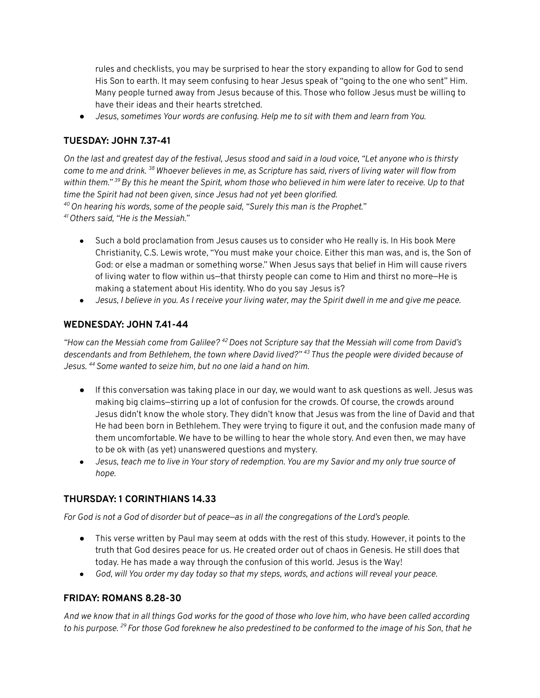rules and checklists, you may be surprised to hear the story expanding to allow for God to send His Son to earth. It may seem confusing to hear Jesus speak of "going to the one who sent" Him. Many people turned away from Jesus because of this. Those who follow Jesus must be willing to have their ideas and their hearts stretched.

*● Jesus, sometimes Your words are confusing. Help me to sit with them and learn from You.*

#### **TUESDAY: JOHN 7.37-41**

On the last and greatest day of the festival, Jesus stood and said in a loud voice, "Let anyone who is thirsty come to me and drink. <sup>38</sup> Whoever believes in me, as Scripture has said, rivers of living water will flow from within them." <sup>39</sup> By this he meant the Spirit, whom those who believed in him were later to receive. Up to that *time the Spirit had not been given, since Jesus had not yet been glorified. <sup>40</sup>On hearing his words, some of the people said, "Surely this man is the Prophet." <sup>41</sup>Others said, "He is the Messiah."*

- *●* Such a bold proclamation from Jesus causes us to consider who He really is. In His book Mere Christianity, C.S. Lewis wrote, "You must make your choice. Either this man was, and is, the Son of God: or else a madman or something worse." When Jesus says that belief in Him will cause rivers of living water to flow within us—that thirsty people can come to Him and thirst no more—He is making a statement about His identity. Who do you say Jesus is?
- Jesus, I believe in you. As I receive your living water, may the Spirit dwell in me and give me peace.

#### **WEDNESDAY: JOHN 7.41-44**

"How can the Messiah come from Galilee?  $42$  Does not Scripture say that the Messiah will come from David's *descendants and from Bethlehem, the town where David lived?" <sup>43</sup> Thus the people were divided because of Jesus. <sup>44</sup>Some wanted to seize him, but no one laid a hand on him.*

- If this conversation was taking place in our day, we would want to ask questions as well. Jesus was making big claims—stirring up a lot of confusion for the crowds. Of course, the crowds around Jesus didn't know the whole story. They didn't know that Jesus was from the line of David and that He had been born in Bethlehem. They were trying to figure it out, and the confusion made many of them uncomfortable. We have to be willing to hear the whole story. And even then, we may have to be ok with (as yet) unanswered questions and mystery.
- Jesus, teach me to live in Your story of redemption. You are my Savior and my only true source of *hope.*

#### **THURSDAY: 1 CORINTHIANS 14.33**

For God is not a God of disorder but of peace-as in all the congregations of the Lord's people.

- This verse written by Paul may seem at odds with the rest of this study. However, it points to the truth that God desires peace for us. He created order out of chaos in Genesis. He still does that today. He has made a way through the confusion of this world. Jesus is the Way!
- God, will You order my day today so that my steps, words, and actions will reveal your peace.

#### **FRIDAY: ROMANS 8.28-30**

And we know that in all things God works for the good of those who love him, who have been called according to his purpose. <sup>29</sup> For those God foreknew he also predestined to be conformed to the image of his Son, that he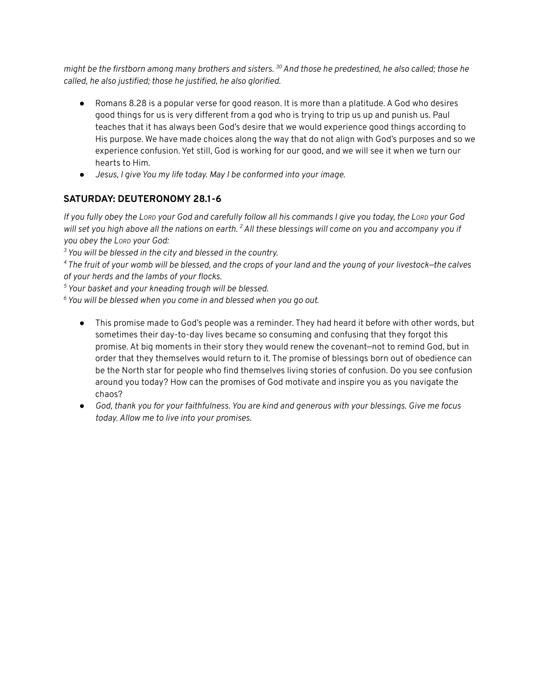might be the firstborn among many brothers and sisters. <sup>30</sup> And those he predestined, he also called; those he *called, he also justified; those he justified, he also glorified.*

- *●* Romans 8.28 is a popular verse for good reason. It is more than a platitude. A God who desires good things for us is very different from a god who is trying to trip us up and punish us. Paul teaches that it has always been God's desire that we would experience good things according to His purpose. We have made choices along the way that do not align with God's purposes and so we experience confusion. Yet still, God is working for our good, and we will see it when we turn our hearts to Him.
- *● Jesus, I give You my life today. May I be conformed into your image.*

### **SATURDAY: DEUTERONOMY 28.1-6**

If you fully obey the Lorp your God and carefully follow all his commands I give you today, the Lorp your God will set you high above all the nations on earth. <sup>2</sup> All these blessings will come on you and accompany you if *you obey the LORD your God:*

*<sup>3</sup>You will be blessed in the city and blessed in the country.*

<sup>4</sup> The fruit of your womb will be blessed, and the crops of your land and the young of your livestock–the calves *of your herds and the lambs of your flocks.*

*<sup>5</sup>Your basket and your kneading trough will be blessed.*

*<sup>6</sup>You will be blessed when you come in and blessed when you go out.*

- This promise made to God's people was a reminder. They had heard it before with other words, but sometimes their day-to-day lives became so consuming and confusing that they forgot this promise. At big moments in their story they would renew the covenant—not to remind God, but in order that they themselves would return to it. The promise of blessings born out of obedience can be the North star for people who find themselves living stories of confusion. Do you see confusion around you today? How can the promises of God motivate and inspire you as you navigate the chaos?
- God, thank you for your faithfulness. You are kind and generous with your blessings. Give me focus *today. Allow me to live into your promises.*